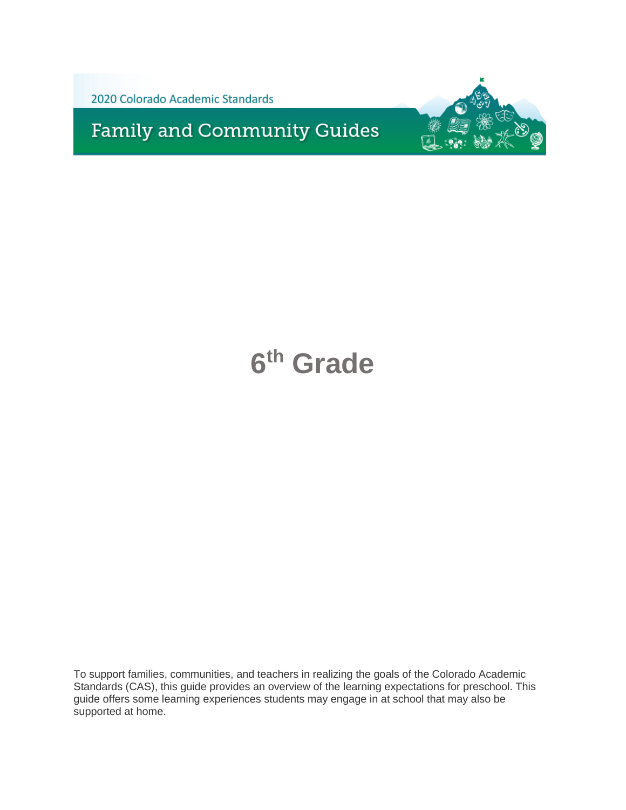2020 Colorado Academic Standards

**Family and Community Guides** 



# **6 th Grade**

To support families, communities, and teachers in realizing the goals of the Colorado Academic Standards (CAS), this guide provides an overview of the learning expectations for preschool. This guide offers some learning experiences students may engage in at school that may also be supported at home.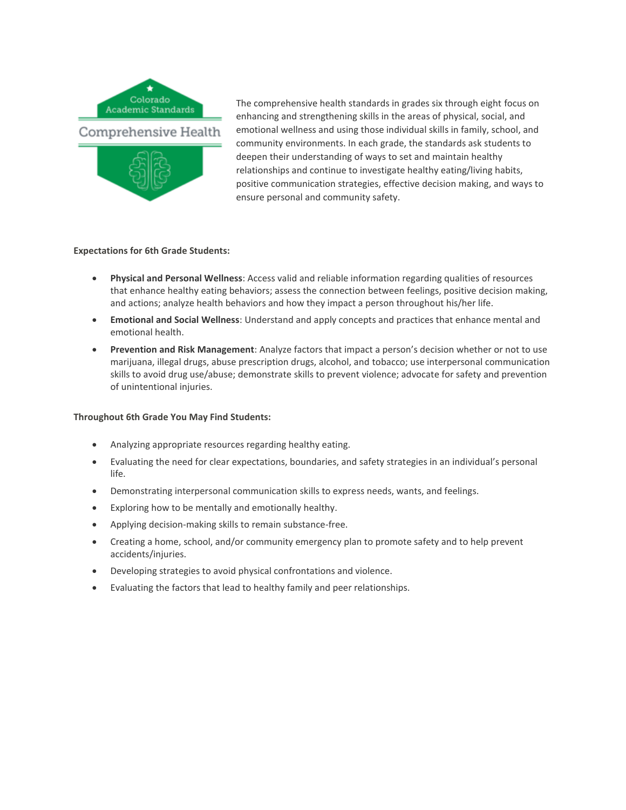

The comprehensive health standards in grades six through eight focus on enhancing and strengthening skills in the areas of physical, social, and emotional wellness and using those individual skills in family, school, and community environments. In each grade, the standards ask students to deepen their understanding of ways to set and maintain healthy relationships and continue to investigate healthy eating/living habits, positive communication strategies, effective decision making, and ways to ensure personal and community safety.

# **Expectations for 6th Grade Students:**

- **Physical and Personal Wellness**: Access valid and reliable information regarding qualities of resources that enhance healthy eating behaviors; assess the connection between feelings, positive decision making, and actions; analyze health behaviors and how they impact a person throughout his/her life.
- **Emotional and Social Wellness**: Understand and apply concepts and practices that enhance mental and emotional health.
- **Prevention and Risk Management**: Analyze factors that impact a person's decision whether or not to use marijuana, illegal drugs, abuse prescription drugs, alcohol, and tobacco; use interpersonal communication skills to avoid drug use/abuse; demonstrate skills to prevent violence; advocate for safety and prevention of unintentional injuries.

- Analyzing appropriate resources regarding healthy eating.
- Evaluating the need for clear expectations, boundaries, and safety strategies in an individual's personal life.
- Demonstrating interpersonal communication skills to express needs, wants, and feelings.
- Exploring how to be mentally and emotionally healthy.
- Applying decision-making skills to remain substance-free.
- Creating a home, school, and/or community emergency plan to promote safety and to help prevent accidents/injuries.
- Developing strategies to avoid physical confrontations and violence.
- Evaluating the factors that lead to healthy family and peer relationships.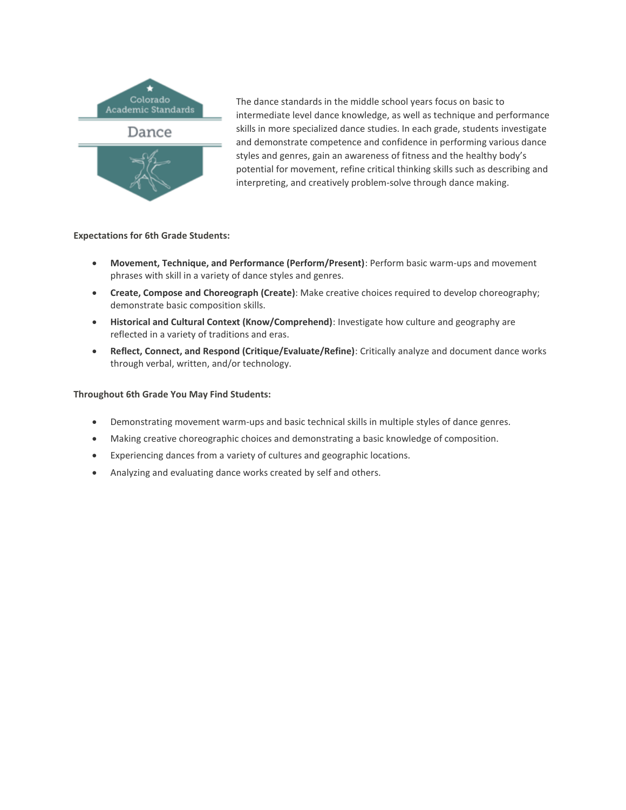

The dance standards in the middle school years focus on basic to intermediate level dance knowledge, as well as technique and performance skills in more specialized dance studies. In each grade, students investigate and demonstrate competence and confidence in performing various dance styles and genres, gain an awareness of fitness and the healthy body's potential for movement, refine critical thinking skills such as describing and interpreting, and creatively problem-solve through dance making.

**Expectations for 6th Grade Students:**

- **Movement, Technique, and Performance (Perform/Present)**: Perform basic warm-ups and movement phrases with skill in a variety of dance styles and genres.
- **Create, Compose and Choreograph (Create)**: Make creative choices required to develop choreography; demonstrate basic composition skills.
- **Historical and Cultural Context (Know/Comprehend)**: Investigate how culture and geography are reflected in a variety of traditions and eras.
- **Reflect, Connect, and Respond (Critique/Evaluate/Refine)**: Critically analyze and document dance works through verbal, written, and/or technology.

- Demonstrating movement warm-ups and basic technical skills in multiple styles of dance genres.
- Making creative choreographic choices and demonstrating a basic knowledge of composition.
- Experiencing dances from a variety of cultures and geographic locations.
- Analyzing and evaluating dance works created by self and others.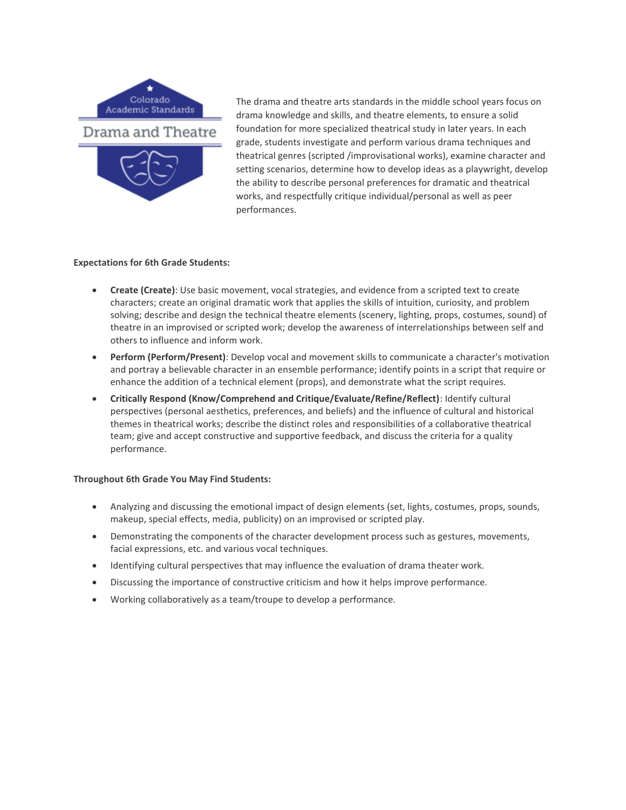

The drama and theatre arts standards in the middle school years focus on drama knowledge and skills, and theatre elements, to ensure a solid foundation for more specialized theatrical study in later years. In each grade, students investigate and perform various drama techniques and theatrical genres (scripted /improvisational works), examine character and setting scenarios, determine how to develop ideas as a playwright, develop the ability to describe personal preferences for dramatic and theatrical works, and respectfully critique individual/personal as well as peer performances.

### **Expectations for 6th Grade Students:**

- **Create (Create)**: Use basic movement, vocal strategies, and evidence from a scripted text to create characters; create an original dramatic work that applies the skills of intuition, curiosity, and problem solving; describe and design the technical theatre elements (scenery, lighting, props, costumes, sound) of theatre in an improvised or scripted work; develop the awareness of interrelationships between self and others to influence and inform work.
- **Perform (Perform/Present)**: Develop vocal and movement skills to communicate a character's motivation and portray a believable character in an ensemble performance; identify points in a script that require or enhance the addition of a technical element (props), and demonstrate what the script requires.
- **Critically Respond (Know/Comprehend and Critique/Evaluate/Refine/Reflect)**: Identify cultural perspectives (personal aesthetics, preferences, and beliefs) and the influence of cultural and historical themes in theatrical works; describe the distinct roles and responsibilities of a collaborative theatrical team; give and accept constructive and supportive feedback, and discuss the criteria for a quality performance.

- Analyzing and discussing the emotional impact of design elements (set, lights, costumes, props, sounds, makeup, special effects, media, publicity) on an improvised or scripted play.
- Demonstrating the components of the character development process such as gestures, movements, facial expressions, etc. and various vocal techniques.
- Identifying cultural perspectives that may influence the evaluation of drama theater work.
- Discussing the importance of constructive criticism and how it helps improve performance.
- Working collaboratively as a team/troupe to develop a performance.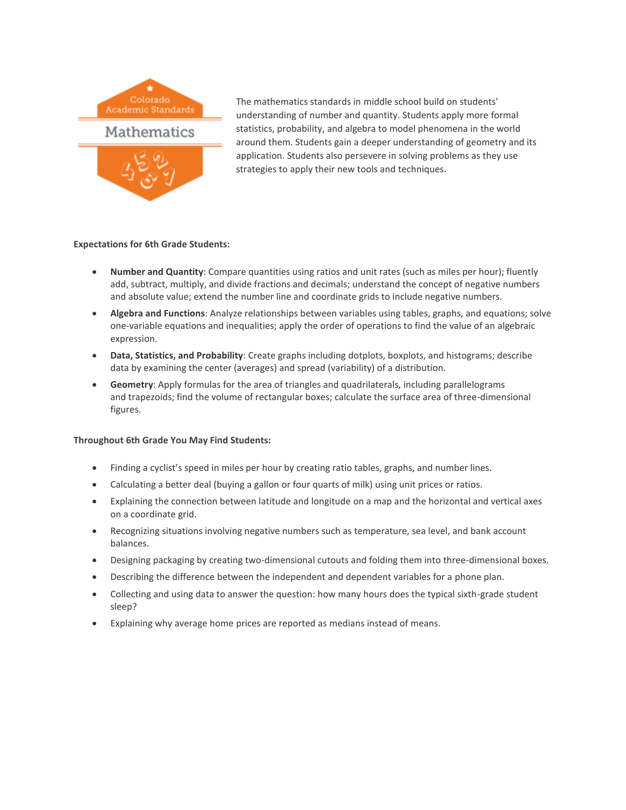

The mathematics standards in middle school build on students' understanding of number and quantity. Students apply more formal statistics, probability, and algebra to model phenomena in the world around them. Students gain a deeper understanding of geometry and its application. Students also persevere in solving problems as they use strategies to apply their new tools and techniques.

# **Expectations for 6th Grade Students:**

- **Number and Quantity**: Compare quantities using ratios and unit rates (such as miles per hour); fluently add, subtract, multiply, and divide fractions and decimals; understand the concept of negative numbers and absolute value; extend the number line and coordinate grids to include negative numbers.
- **Algebra and Functions**: Analyze relationships between variables using tables, graphs, and equations; solve one-variable equations and inequalities; apply the order of operations to find the value of an algebraic expression.
- **Data, Statistics, and Probability**: Create graphs including dotplots, boxplots, and histograms; describe data by examining the center (averages) and spread (variability) of a distribution.
- **Geometry**: Apply formulas for the area of triangles and quadrilaterals, including parallelograms and trapezoids; find the volume of rectangular boxes; calculate the surface area of three-dimensional figures.

- Finding a cyclist's speed in miles per hour by creating ratio tables, graphs, and number lines.
- Calculating a better deal (buying a gallon or four quarts of milk) using unit prices or ratios.
- Explaining the connection between latitude and longitude on a map and the horizontal and vertical axes on a coordinate grid.
- Recognizing situations involving negative numbers such as temperature, sea level, and bank account balances.
- Designing packaging by creating two-dimensional cutouts and folding them into three-dimensional boxes.
- Describing the difference between the independent and dependent variables for a phone plan.
- Collecting and using data to answer the question: how many hours does the typical sixth-grade student sleep?
- Explaining why average home prices are reported as medians instead of means.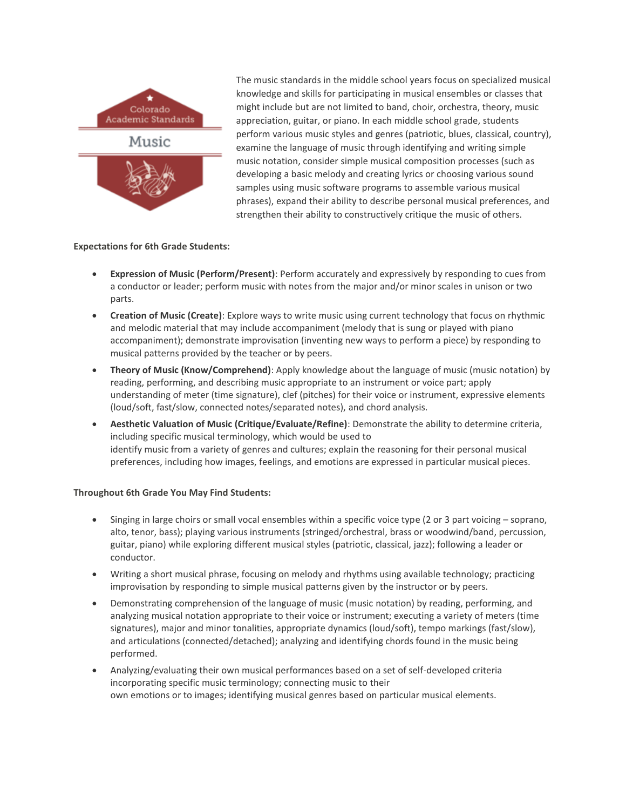

The music standards in the middle school years focus on specialized musical knowledge and skills for participating in musical ensembles or classes that might include but are not limited to band, choir, orchestra, theory, music appreciation, guitar, or piano. In each middle school grade, students perform various music styles and genres (patriotic, blues, classical, country), examine the language of music through identifying and writing simple music notation, consider simple musical composition processes (such as developing a basic melody and creating lyrics or choosing various sound samples using music software programs to assemble various musical phrases), expand their ability to describe personal musical preferences, and strengthen their ability to constructively critique the music of others.

# **Expectations for 6th Grade Students:**

- **Expression of Music (Perform/Present)**: Perform accurately and expressively by responding to cues from a conductor or leader; perform music with notes from the major and/or minor scales in unison or two parts.
- **Creation of Music (Create)**: Explore ways to write music using current technology that focus on rhythmic and melodic material that may include accompaniment (melody that is sung or played with piano accompaniment); demonstrate improvisation (inventing new ways to perform a piece) by responding to musical patterns provided by the teacher or by peers.
- **Theory of Music (Know/Comprehend)**: Apply knowledge about the language of music (music notation) by reading, performing, and describing music appropriate to an instrument or voice part; apply understanding of meter (time signature), clef (pitches) for their voice or instrument, expressive elements (loud/soft, fast/slow, connected notes/separated notes), and chord analysis.
- **Aesthetic Valuation of Music (Critique/Evaluate/Refine)**: Demonstrate the ability to determine criteria, including specific musical terminology, which would be used to identify music from a variety of genres and cultures; explain the reasoning for their personal musical preferences, including how images, feelings, and emotions are expressed in particular musical pieces.

- Singing in large choirs or small vocal ensembles within a specific voice type (2 or 3 part voicing soprano, alto, tenor, bass); playing various instruments (stringed/orchestral, brass or woodwind/band, percussion, guitar, piano) while exploring different musical styles (patriotic, classical, jazz); following a leader or conductor.
- Writing a short musical phrase, focusing on melody and rhythms using available technology; practicing improvisation by responding to simple musical patterns given by the instructor or by peers.
- Demonstrating comprehension of the language of music (music notation) by reading, performing, and analyzing musical notation appropriate to their voice or instrument; executing a variety of meters (time signatures), major and minor tonalities, appropriate dynamics (loud/soft), tempo markings (fast/slow), and articulations (connected/detached); analyzing and identifying chords found in the music being performed.
- Analyzing/evaluating their own musical performances based on a set of self-developed criteria incorporating specific music terminology; connecting music to their own emotions or to images; identifying musical genres based on particular musical elements.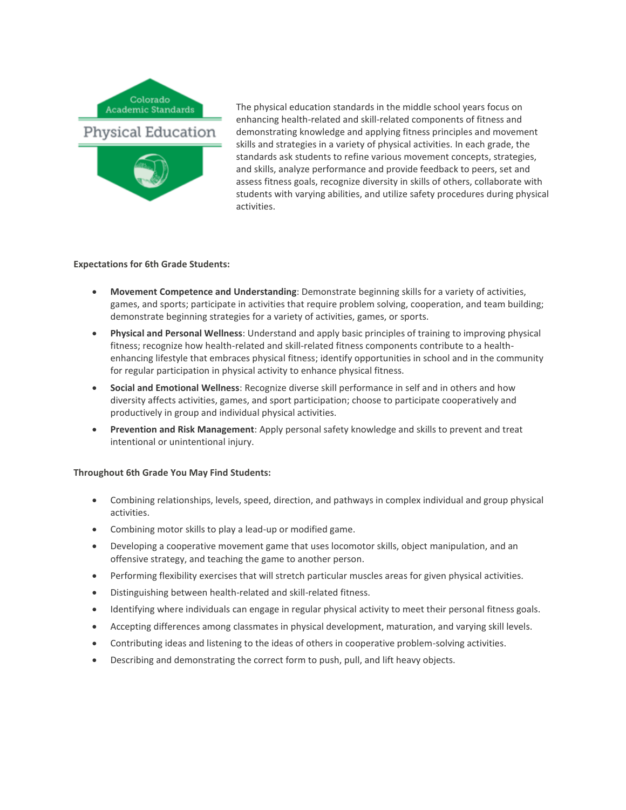

The physical education standards in the middle school years focus on enhancing health-related and skill-related components of fitness and demonstrating knowledge and applying fitness principles and movement skills and strategies in a variety of physical activities. In each grade, the standards ask students to refine various movement concepts, strategies, and skills, analyze performance and provide feedback to peers, set and assess fitness goals, recognize diversity in skills of others, collaborate with students with varying abilities, and utilize safety procedures during physical activities.

# **Expectations for 6th Grade Students:**

- **Movement Competence and Understanding**: Demonstrate beginning skills for a variety of activities, games, and sports; participate in activities that require problem solving, cooperation, and team building; demonstrate beginning strategies for a variety of activities, games, or sports.
- **Physical and Personal Wellness**: Understand and apply basic principles of training to improving physical fitness; recognize how health-related and skill-related fitness components contribute to a healthenhancing lifestyle that embraces physical fitness; identify opportunities in school and in the community for regular participation in physical activity to enhance physical fitness.
- **Social and Emotional Wellness**: Recognize diverse skill performance in self and in others and how diversity affects activities, games, and sport participation; choose to participate cooperatively and productively in group and individual physical activities.
- **Prevention and Risk Management**: Apply personal safety knowledge and skills to prevent and treat intentional or unintentional injury.

- Combining relationships, levels, speed, direction, and pathways in complex individual and group physical activities.
- Combining motor skills to play a lead-up or modified game.
- Developing a cooperative movement game that uses locomotor skills, object manipulation, and an offensive strategy, and teaching the game to another person.
- Performing flexibility exercises that will stretch particular muscles areas for given physical activities.
- Distinguishing between health-related and skill-related fitness.
- Identifying where individuals can engage in regular physical activity to meet their personal fitness goals.
- Accepting differences among classmates in physical development, maturation, and varying skill levels.
- Contributing ideas and listening to the ideas of others in cooperative problem-solving activities.
- Describing and demonstrating the correct form to push, pull, and lift heavy objects.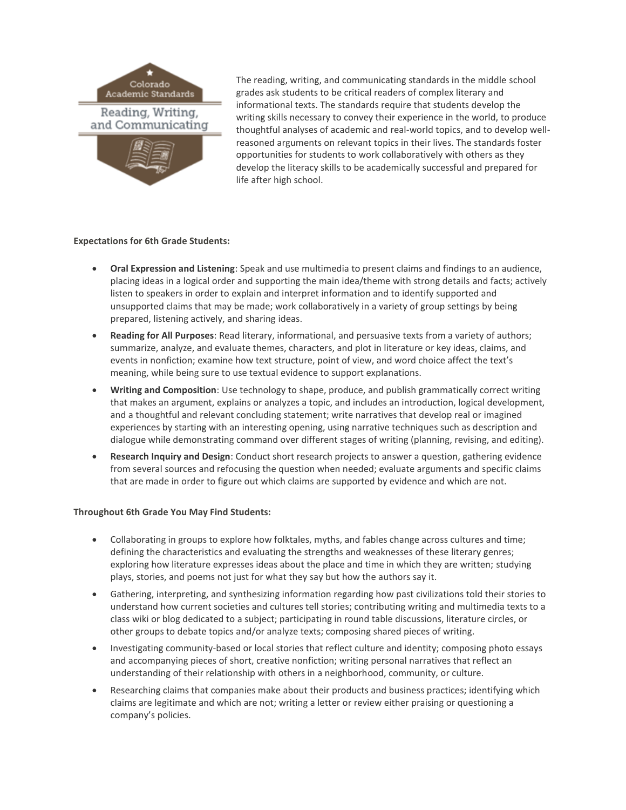

The reading, writing, and communicating standards in the middle school grades ask students to be critical readers of complex literary and informational texts. The standards require that students develop the writing skills necessary to convey their experience in the world, to produce thoughtful analyses of academic and real-world topics, and to develop wellreasoned arguments on relevant topics in their lives. The standards foster opportunities for students to work collaboratively with others as they develop the literacy skills to be academically successful and prepared for life after high school.

# **Expectations for 6th Grade Students:**

- **Oral Expression and Listening**: Speak and use multimedia to present claims and findings to an audience, placing ideas in a logical order and supporting the main idea/theme with strong details and facts; actively listen to speakers in order to explain and interpret information and to identify supported and unsupported claims that may be made; work collaboratively in a variety of group settings by being prepared, listening actively, and sharing ideas.
- **Reading for All Purposes**: Read literary, informational, and persuasive texts from a variety of authors; summarize, analyze, and evaluate themes, characters, and plot in literature or key ideas, claims, and events in nonfiction; examine how text structure, point of view, and word choice affect the text's meaning, while being sure to use textual evidence to support explanations.
- **Writing and Composition**: Use technology to shape, produce, and publish grammatically correct writing that makes an argument, explains or analyzes a topic, and includes an introduction, logical development, and a thoughtful and relevant concluding statement; write narratives that develop real or imagined experiences by starting with an interesting opening, using narrative techniques such as description and dialogue while demonstrating command over different stages of writing (planning, revising, and editing).
- **Research Inquiry and Design**: Conduct short research projects to answer a question, gathering evidence from several sources and refocusing the question when needed; evaluate arguments and specific claims that are made in order to figure out which claims are supported by evidence and which are not.

- Collaborating in groups to explore how folktales, myths, and fables change across cultures and time; defining the characteristics and evaluating the strengths and weaknesses of these literary genres; exploring how literature expresses ideas about the place and time in which they are written; studying plays, stories, and poems not just for what they say but how the authors say it.
- Gathering, interpreting, and synthesizing information regarding how past civilizations told their stories to understand how current societies and cultures tell stories; contributing writing and multimedia texts to a class wiki or blog dedicated to a subject; participating in round table discussions, literature circles, or other groups to debate topics and/or analyze texts; composing shared pieces of writing.
- Investigating community-based or local stories that reflect culture and identity; composing photo essays and accompanying pieces of short, creative nonfiction; writing personal narratives that reflect an understanding of their relationship with others in a neighborhood, community, or culture.
- Researching claims that companies make about their products and business practices; identifying which claims are legitimate and which are not; writing a letter or review either praising or questioning a company's policies.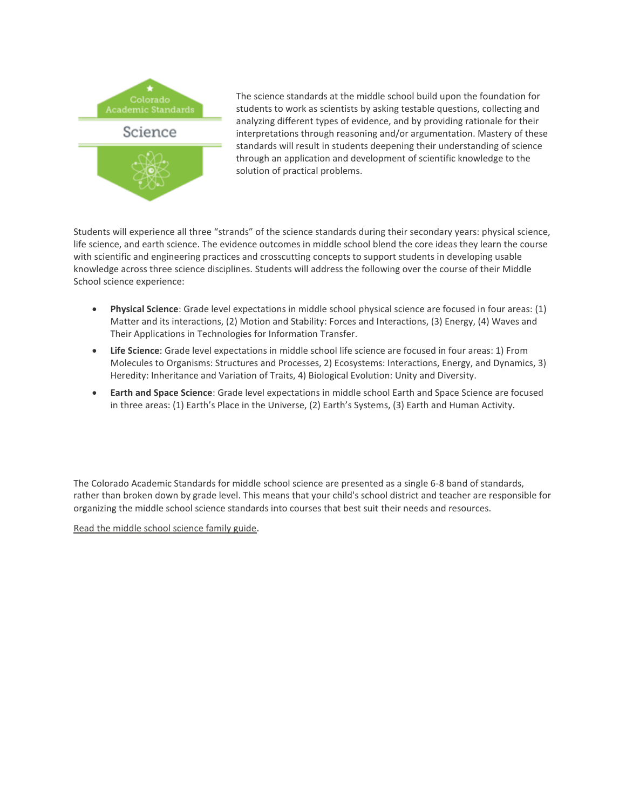

The science standards at the middle school build upon the foundation for students to work as scientists by asking testable questions, collecting and analyzing different types of evidence, and by providing rationale for their interpretations through reasoning and/or argumentation. Mastery of these standards will result in students deepening their understanding of science through an application and development of scientific knowledge to the solution of practical problems.

Students will experience all three "strands" of the science standards during their secondary years: physical science, life science, and earth science. The evidence outcomes in middle school blend the core ideas they learn the course with scientific and engineering practices and crosscutting concepts to support students in developing usable knowledge across three science disciplines. Students will address the following over the course of their Middle School science experience:

- **Physical Science**: Grade level expectations in middle school physical science are focused in four areas: (1) Matter and its interactions, (2) Motion and Stability: Forces and Interactions, (3) Energy, (4) Waves and Their Applications in Technologies for Information Transfer.
- **Life Science**: Grade level expectations in middle school life science are focused in four areas: 1) From Molecules to Organisms: Structures and Processes, 2) Ecosystems: Interactions, Energy, and Dynamics, 3) Heredity: Inheritance and Variation of Traits, 4) Biological Evolution: Unity and Diversity.
- **Earth and Space Science**: Grade level expectations in middle school Earth and Space Science are focused in three areas: (1) Earth's Place in the Universe, (2) Earth's Systems, (3) Earth and Human Activity.

The Colorado Academic Standards for middle school science are presented as a single 6-8 band of standards, rather than broken down by grade level. This means that your child's school district and teacher are responsible for organizing the middle school science standards into courses that best suit their needs and resources.

[Read the middle school science family guide.](http://www.cde.state.co.us/standardsandinstruction/2020cas-sc-ms-guide)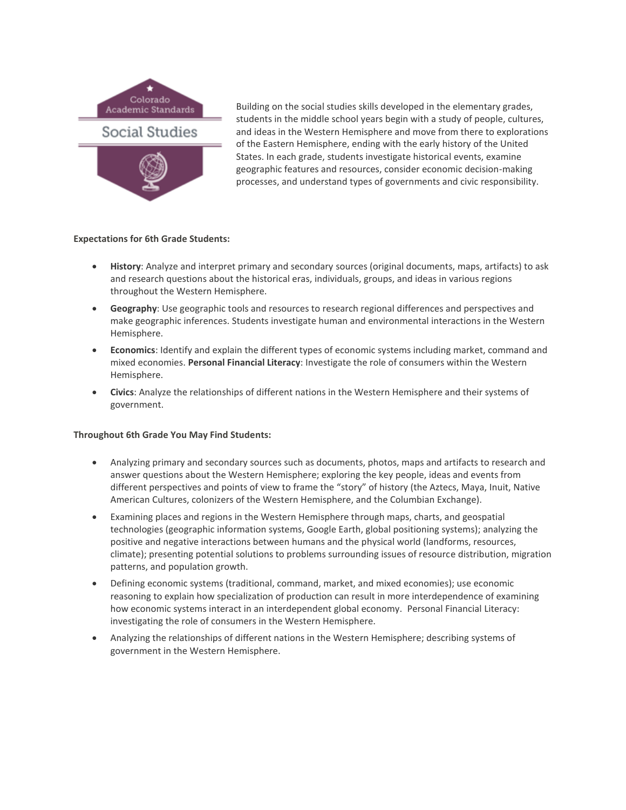

Building on the social studies skills developed in the elementary grades, students in the middle school years begin with a study of people, cultures, and ideas in the Western Hemisphere and move from there to explorations of the Eastern Hemisphere, ending with the early history of the United States. In each grade, students investigate historical events, examine geographic features and resources, consider economic decision-making processes, and understand types of governments and civic responsibility.

# **Expectations for 6th Grade Students:**

- **History**: Analyze and interpret primary and secondary sources (original documents, maps, artifacts) to ask and research questions about the historical eras, individuals, groups, and ideas in various regions throughout the Western Hemisphere.
- **Geography**: Use geographic tools and resources to research regional differences and perspectives and make geographic inferences. Students investigate human and environmental interactions in the Western Hemisphere.
- **Economics**: Identify and explain the different types of economic systems including market, command and mixed economies. **Personal Financial Literacy**: Investigate the role of consumers within the Western Hemisphere.
- **Civics**: Analyze the relationships of different nations in the Western Hemisphere and their systems of government.

- Analyzing primary and secondary sources such as documents, photos, maps and artifacts to research and answer questions about the Western Hemisphere; exploring the key people, ideas and events from different perspectives and points of view to frame the "story" of history (the Aztecs, Maya, Inuit, Native American Cultures, colonizers of the Western Hemisphere, and the Columbian Exchange).
- Examining places and regions in the Western Hemisphere through maps, charts, and geospatial technologies (geographic information systems, Google Earth, global positioning systems); analyzing the positive and negative interactions between humans and the physical world (landforms, resources, climate); presenting potential solutions to problems surrounding issues of resource distribution, migration patterns, and population growth.
- Defining economic systems (traditional, command, market, and mixed economies); use economic reasoning to explain how specialization of production can result in more interdependence of examining how economic systems interact in an interdependent global economy. Personal Financial Literacy: investigating the role of consumers in the Western Hemisphere.
- Analyzing the relationships of different nations in the Western Hemisphere; describing systems of government in the Western Hemisphere.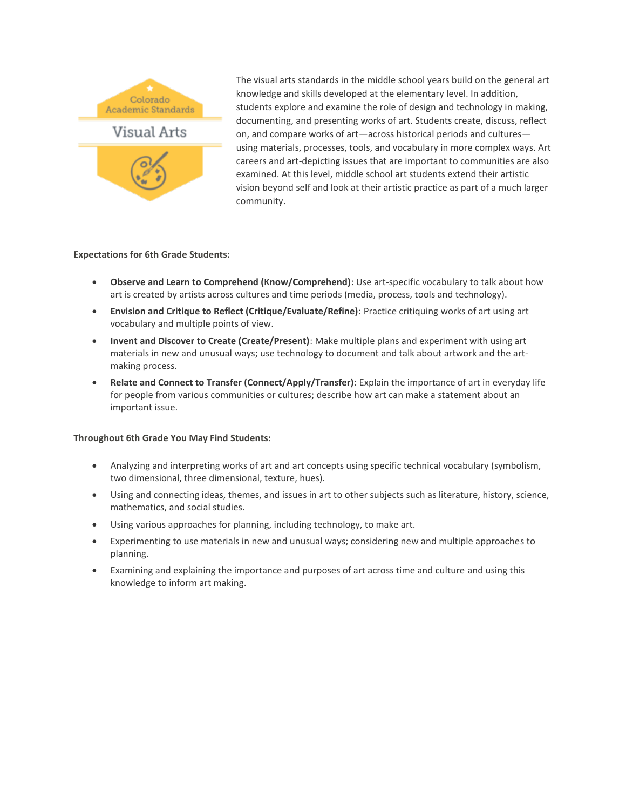

The visual arts standards in the middle school years build on the general art knowledge and skills developed at the elementary level. In addition, students explore and examine the role of design and technology in making, documenting, and presenting works of art. Students create, discuss, reflect on, and compare works of art—across historical periods and cultures using materials, processes, tools, and vocabulary in more complex ways. Art careers and art-depicting issues that are important to communities are also examined. At this level, middle school art students extend their artistic vision beyond self and look at their artistic practice as part of a much larger community.

# **Expectations for 6th Grade Students:**

- **Observe and Learn to Comprehend (Know/Comprehend)**: Use art-specific vocabulary to talk about how art is created by artists across cultures and time periods (media, process, tools and technology).
- **Envision and Critique to Reflect (Critique/Evaluate/Refine)**: Practice critiquing works of art using art vocabulary and multiple points of view.
- **Invent and Discover to Create (Create/Present)**: Make multiple plans and experiment with using art materials in new and unusual ways; use technology to document and talk about artwork and the artmaking process.
- **Relate and Connect to Transfer (Connect/Apply/Transfer)**: Explain the importance of art in everyday life for people from various communities or cultures; describe how art can make a statement about an important issue.

- Analyzing and interpreting works of art and art concepts using specific technical vocabulary (symbolism, two dimensional, three dimensional, texture, hues).
- Using and connecting ideas, themes, and issues in art to other subjects such as literature, history, science, mathematics, and social studies.
- Using various approaches for planning, including technology, to make art.
- Experimenting to use materials in new and unusual ways; considering new and multiple approaches to planning.
- Examining and explaining the importance and purposes of art across time and culture and using this knowledge to inform art making.